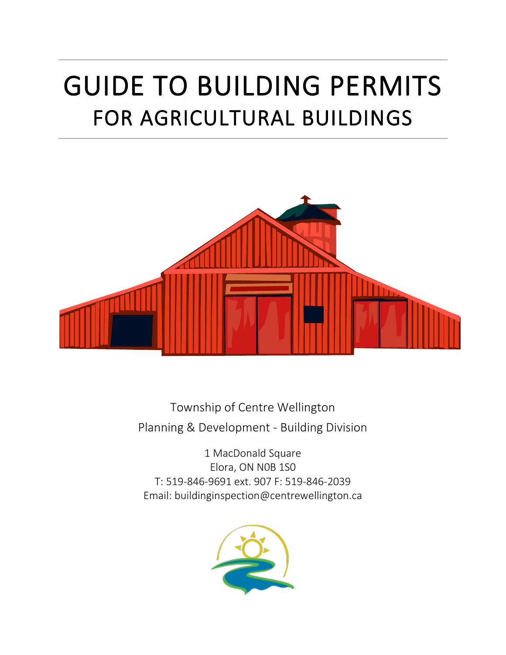# GUIDE TO BUILDING PERMITS FOR AGRICULTURAL BUILDINGS



Township of Centre Wellington Planning & Development - Building Division

1 MacDonald Square Elora, ON N0B 1S0 T: 519-846-9691 ext. 907 F: 519-846-2039 Email: buildinginspection@centrewellington.ca

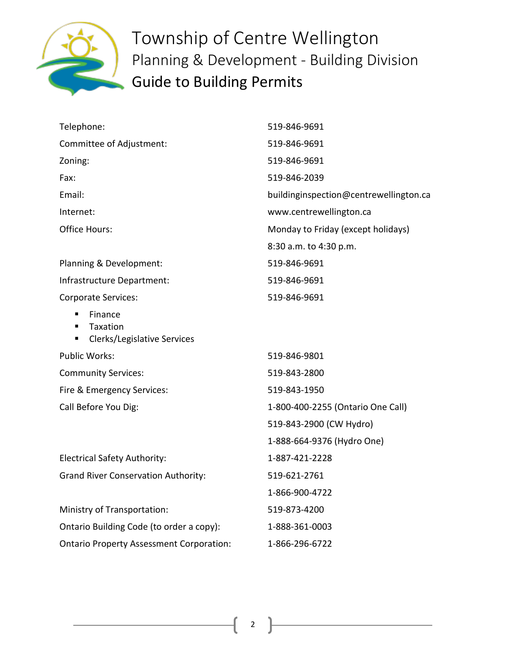

| Telephone:                                                                | 519-846-9691                           |
|---------------------------------------------------------------------------|----------------------------------------|
| Committee of Adjustment:                                                  | 519-846-9691                           |
| Zoning:                                                                   | 519-846-9691                           |
| Fax:                                                                      | 519-846-2039                           |
| Email:                                                                    | buildinginspection@centrewellington.ca |
| Internet:                                                                 | www.centrewellington.ca                |
| <b>Office Hours:</b>                                                      | Monday to Friday (except holidays)     |
|                                                                           | 8:30 a.m. to 4:30 p.m.                 |
| Planning & Development:                                                   | 519-846-9691                           |
| Infrastructure Department:                                                | 519-846-9691                           |
| <b>Corporate Services:</b>                                                | 519-846-9691                           |
| Finance<br>Taxation<br>$\blacksquare$<br>Clerks/Legislative Services<br>٠ |                                        |
| <b>Public Works:</b>                                                      | 519-846-9801                           |
| <b>Community Services:</b>                                                | 519-843-2800                           |
| Fire & Emergency Services:                                                | 519-843-1950                           |
| Call Before You Dig:                                                      | 1-800-400-2255 (Ontario One Call)      |
|                                                                           | 519-843-2900 (CW Hydro)                |
|                                                                           | 1-888-664-9376 (Hydro One)             |
| <b>Electrical Safety Authority:</b>                                       | 1-887-421-2228                         |
| <b>Grand River Conservation Authority:</b>                                | 519-621-2761                           |
|                                                                           | 1-866-900-4722                         |
| Ministry of Transportation:                                               | 519-873-4200                           |
| Ontario Building Code (to order a copy):                                  | 1-888-361-0003                         |
| <b>Ontario Property Assessment Corporation:</b>                           | 1-866-296-6722                         |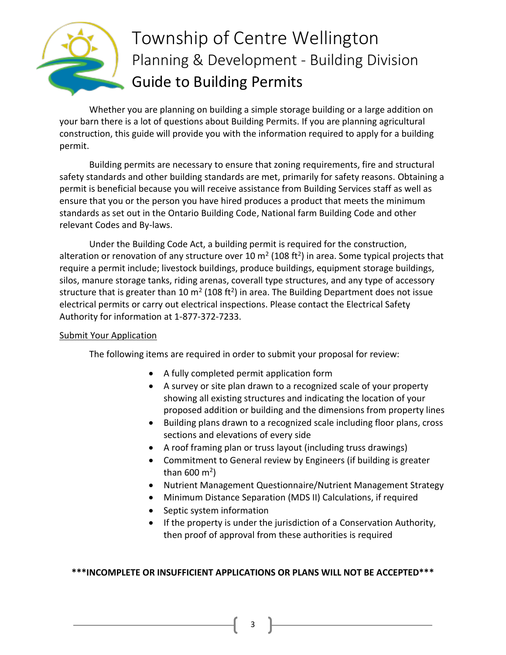

Whether you are planning on building a simple storage building or a large addition on your barn there is a lot of questions about Building Permits. If you are planning agricultural construction, this guide will provide you with the information required to apply for a building permit.

Building permits are necessary to ensure that zoning requirements, fire and structural safety standards and other building standards are met, primarily for safety reasons. Obtaining a permit is beneficial because you will receive assistance from Building Services staff as well as ensure that you or the person you have hired produces a product that meets the minimum standards as set out in the Ontario Building Code, National farm Building Code and other relevant Codes and By-laws.

Under the Building Code Act, a building permit is required for the construction, alteration or renovation of any structure over 10 m<sup>2</sup> (108 ft<sup>2</sup>) in area. Some typical projects that require a permit include; livestock buildings, produce buildings, equipment storage buildings, silos, manure storage tanks, riding arenas, coverall type structures, and any type of accessory structure that is greater than 10 m<sup>2</sup> (108 ft<sup>2</sup>) in area. The Building Department does not issue electrical permits or carry out electrical inspections. Please contact the Electrical Safety Authority for information at 1-877-372-7233.

### **Submit Your Application**

The following items are required in order to submit your proposal for review:

- A fully completed permit application form
- A survey or site plan drawn to a recognized scale of your property showing all existing structures and indicating the location of your proposed addition or building and the dimensions from property lines
- Building plans drawn to a recognized scale including floor plans, cross sections and elevations of every side
- A roof framing plan or truss layout (including truss drawings)
- Commitment to General review by Engineers (if building is greater than 600 m<sup>2</sup>)
- Nutrient Management Questionnaire/Nutrient Management Strategy
- Minimum Distance Separation (MDS II) Calculations, if required
- Septic system information
- If the property is under the jurisdiction of a Conservation Authority, then proof of approval from these authorities is required

### **\*\*\*INCOMPLETE OR INSUFFICIENT APPLICATIONS OR PLANS WILL NOT BE ACCEPTED\*\*\***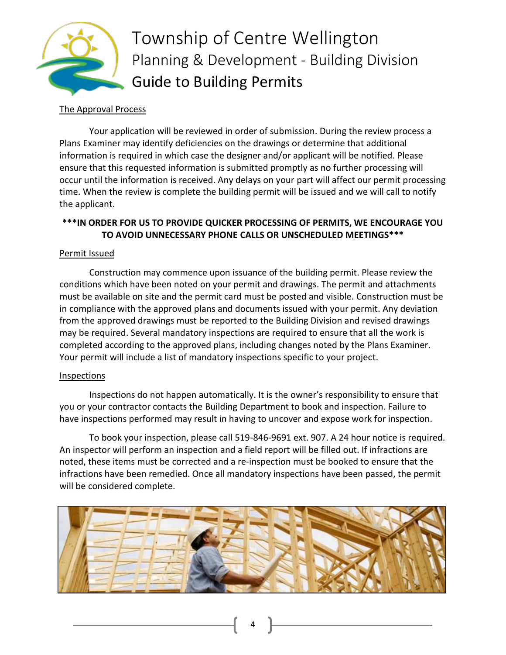

#### The Approval Process

Your application will be reviewed in order of submission. During the review process a Plans Examiner may identify deficiencies on the drawings or determine that additional information is required in which case the designer and/or applicant will be notified. Please ensure that this requested information is submitted promptly as no further processing will occur until the information is received. Any delays on your part will affect our permit processing time. When the review is complete the building permit will be issued and we will call to notify the applicant.

## **\*\*\*IN ORDER FOR US TO PROVIDE QUICKER PROCESSING OF PERMITS, WE ENCOURAGE YOU TO AVOID UNNECESSARY PHONE CALLS OR UNSCHEDULED MEETINGS\*\*\***

### Permit Issued

Construction may commence upon issuance of the building permit. Please review the conditions which have been noted on your permit and drawings. The permit and attachments must be available on site and the permit card must be posted and visible. Construction must be in compliance with the approved plans and documents issued with your permit. Any deviation from the approved drawings must be reported to the Building Division and revised drawings may be required. Several mandatory inspections are required to ensure that all the work is completed according to the approved plans, including changes noted by the Plans Examiner. Your permit will include a list of mandatory inspections specific to your project.

### Inspections

Inspections do not happen automatically. It is the owner's responsibility to ensure that you or your contractor contacts the Building Department to book and inspection. Failure to have inspections performed may result in having to uncover and expose work for inspection.

To book your inspection, please call 519-846-9691 ext. 907. A 24 hour notice is required. An inspector will perform an inspection and a field report will be filled out. If infractions are noted, these items must be corrected and a re-inspection must be booked to ensure that the infractions have been remedied. Once all mandatory inspections have been passed, the permit will be considered complete.